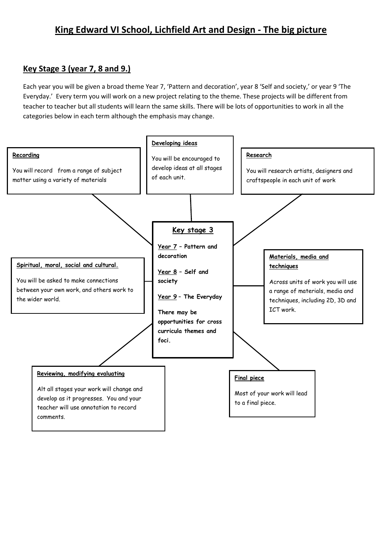## **King Edward VI School, Lichfield Art and Design - The big picture**

### **Key Stage 3 (year 7, 8 and 9.)**

Each year you will be given a broad theme Year 7, 'Pattern and decoration', year 8 'Self and society,' or year 9 'The Everyday.' Every term you will work on a new project relating to the theme. These projects will be different from teacher to teacher but all students will learn the same skills. There will be lots of opportunities to work in all the categories below in each term although the emphasis may change.

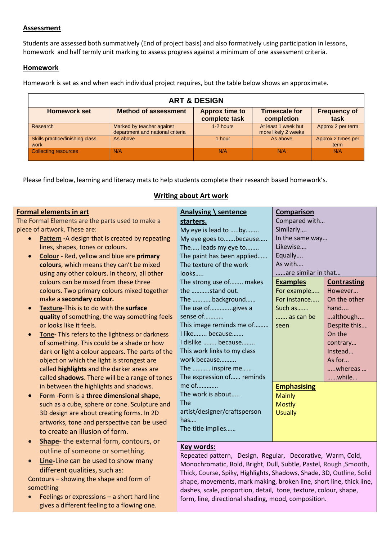#### **Assessment**

Students are assessed both summatively (End of project basis) and also formatively using participation in lessons, homework and half termly unit marking to assess progress against a minimum of one assessment criteria.

#### **Homework**

Homework is set as and when each individual project requires, but the table below shows an approximate.

| <b>ART &amp; DESIGN</b>                 |                                                               |                                        |                                            |                             |  |  |  |
|-----------------------------------------|---------------------------------------------------------------|----------------------------------------|--------------------------------------------|-----------------------------|--|--|--|
| <b>Homework set</b>                     | <b>Method of assessment</b>                                   | <b>Approx time to</b><br>complete task | <b>Timescale for</b><br>completion         | <b>Frequency of</b><br>task |  |  |  |
| Research                                | Marked by teacher against<br>department and national criteria | 1-2 hours                              | At least 1 week but<br>more likely 2 weeks | Approx 2 per term           |  |  |  |
| Skills practice/finishing class<br>work | As above                                                      | 1 hour                                 | As above                                   | Approx 2 times per<br>term  |  |  |  |
| <b>Collecting resources</b>             | N/A                                                           | N/A                                    | N/A                                        | N/A                         |  |  |  |

Please find below, learning and literacy mats to help students complete their research based homework's.

| <b>Formal elements in art</b>                                | Analysing \ sentence                                                                                                                        | Comparison          |                    |
|--------------------------------------------------------------|---------------------------------------------------------------------------------------------------------------------------------------------|---------------------|--------------------|
| The Formal Elements are the parts used to make a             | starters.                                                                                                                                   | Compared with       |                    |
| piece of artwork. These are:                                 | My eye is lead to by                                                                                                                        | Similarly           |                    |
| Pattern - A design that is created by repeating<br>$\bullet$ | My eye goes to  because                                                                                                                     | In the same way     |                    |
| lines, shapes, tones or colours.                             | The leads my eye to                                                                                                                         | Likewise            |                    |
| Colour - Red, yellow and blue are primary<br>$\bullet$       | The paint has been applied                                                                                                                  | Equally             |                    |
| colours, which means they can't be mixed                     | The texture of the work                                                                                                                     | As with             |                    |
| using any other colours. In theory, all other                | looks                                                                                                                                       | are similar in that |                    |
| colours can be mixed from these three                        | The strong use of makes                                                                                                                     | <b>Examples</b>     | <b>Contrasting</b> |
| colours. Two primary colours mixed together                  | the stand out.                                                                                                                              | For example         | However            |
| make a secondary colour.                                     | The background                                                                                                                              | For instance        | On the other       |
| Texture-This is to do with the surface<br>$\bullet$          | The use ofgives a                                                                                                                           | Such as             | hand               |
| quality of something, the way something feels                | sense of                                                                                                                                    | as can be           | although           |
| or looks like it feels.                                      | This image reminds me of                                                                                                                    | seen                | Despite this       |
| Tone- This refers to the lightness or darkness<br>$\bullet$  | I like because                                                                                                                              |                     | On the             |
| of something. This could be a shade or how                   | I dislike  because                                                                                                                          |                     | contrary           |
| dark or light a colour appears. The parts of the             | This work links to my class                                                                                                                 |                     | Instead            |
| object on which the light is strongest are                   | work because                                                                                                                                |                     | As for             |
| called highlights and the darker areas are                   | The inspire me                                                                                                                              |                     | whereas            |
| called shadows. There will be a range of tones               | The expression of reminds                                                                                                                   |                     | while              |
| in between the highlights and shadows.                       | me of                                                                                                                                       | <b>Emphasising</b>  |                    |
| Form - Form is a three dimensional shape,<br>$\bullet$       | The work is about                                                                                                                           | <b>Mainly</b>       |                    |
| such as a cube, sphere or cone. Sculpture and                | <b>The</b>                                                                                                                                  | <b>Mostly</b>       |                    |
| 3D design are about creating forms. In 2D                    | artist/designer/craftsperson                                                                                                                | <b>Usually</b>      |                    |
| artworks, tone and perspective can be used                   | has                                                                                                                                         |                     |                    |
| to create an illusion of form.                               | The title implies                                                                                                                           |                     |                    |
| Shape- the external form, contours, or<br>$\bullet$          |                                                                                                                                             |                     |                    |
| outline of someone or something.                             | <b>Key words:</b>                                                                                                                           |                     |                    |
| Line-Line can be used to show many<br>$\bullet$              | Repeated pattern, Design, Regular, Decorative, Warm, Cold,                                                                                  |                     |                    |
| different qualities, such as:                                | Monochromatic, Bold, Bright, Dull, Subtle, Pastel, Rough, Smooth,                                                                           |                     |                    |
| Contours - showing the shape and form of                     | Thick, Course, Spiky, Highlights, Shadows, Shade, 3D, Outline, Solid<br>shape, movements, mark making, broken line, short line, thick line, |                     |                    |
| something                                                    |                                                                                                                                             |                     |                    |
| Feelings or expressions - a short hard line                  | dashes, scale, proportion, detail, tone, texture, colour, shape,<br>form, line, directional shading, mood, composition.                     |                     |                    |
| gives a different feeling to a flowing one.                  |                                                                                                                                             |                     |                    |

#### **Writing about Art work**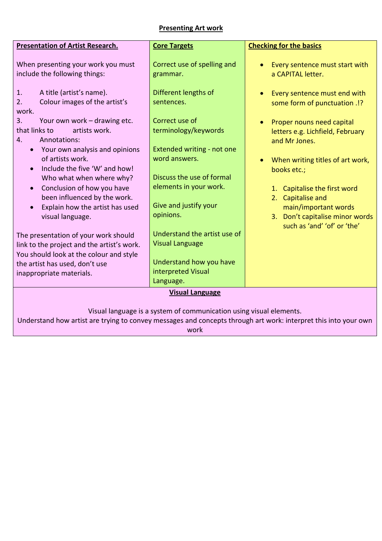#### **Presenting Art work**

| <b>Presentation of Artist Research.</b>                                                                                        | <b>Core Targets</b>                                                      | <b>Checking for the basics</b>                                                 |  |  |  |  |
|--------------------------------------------------------------------------------------------------------------------------------|--------------------------------------------------------------------------|--------------------------------------------------------------------------------|--|--|--|--|
| When presenting your work you must<br>include the following things:                                                            | Correct use of spelling and<br>grammar.                                  | Every sentence must start with<br>a CAPITAL letter.                            |  |  |  |  |
| A title (artist's name).<br>1.<br>Colour images of the artist's<br>2.<br>work.                                                 | Different lengths of<br>sentences.                                       | Every sentence must end with<br>some form of punctuation .!?                   |  |  |  |  |
| 3.<br>Your own work - drawing etc.<br>that links to<br>artists work.<br>Annotations:<br>4.                                     | Correct use of<br>terminology/keywords                                   | Proper nouns need capital<br>letters e.g. Lichfield, February<br>and Mr Jones. |  |  |  |  |
| • Your own analysis and opinions<br>of artists work.<br>Include the five 'W' and how!<br>$\bullet$<br>Who what when where why? | Extended writing - not one<br>word answers.<br>Discuss the use of formal | When writing titles of art work,<br>books etc.;                                |  |  |  |  |
| Conclusion of how you have<br>$\bullet$<br>been influenced by the work.<br>Explain how the artist has used                     | elements in your work.<br>Give and justify your                          | 1. Capitalise the first word<br>Capitalise and<br>2.<br>main/important words   |  |  |  |  |
| visual language.<br>The presentation of your work should                                                                       | opinions.<br>Understand the artist use of                                | 3. Don't capitalise minor words<br>such as 'and' 'of' or 'the'                 |  |  |  |  |
| link to the project and the artist's work.<br>You should look at the colour and style<br>the artist has used, don't use        | <b>Visual Language</b><br>Understand how you have<br>interpreted Visual  |                                                                                |  |  |  |  |
| inappropriate materials.                                                                                                       | Language.                                                                |                                                                                |  |  |  |  |
| <b>Visual Language</b>                                                                                                         |                                                                          |                                                                                |  |  |  |  |
|                                                                                                                                |                                                                          |                                                                                |  |  |  |  |

Visual language is a system of communication using visual elements.

Understand how artist are trying to convey messages and concepts through art work: interpret this into your own

work